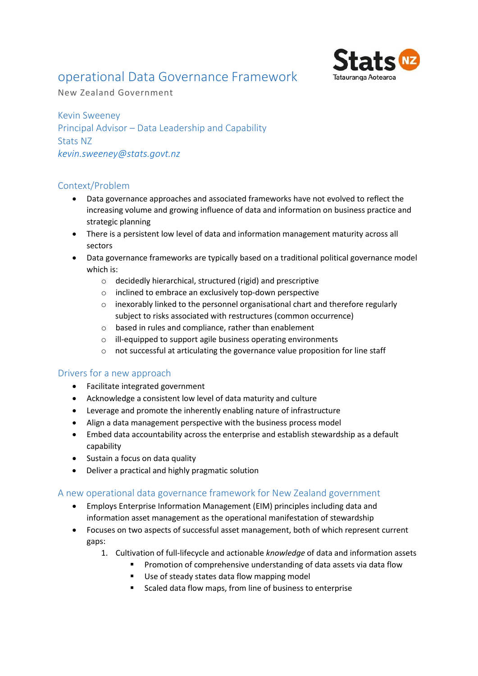# operational Data Governance Framework



New Zealand Government

Kevin Sweeney Principal Advisor – Data Leadership and Capability Stats NZ *[kevin.sweeney@stats.govt.nz](mailto:kevin.sweeney@stats.govt.nz)*

## Context/Problem

- Data governance approaches and associated frameworks have not evolved to reflect the increasing volume and growing influence of data and information on business practice and strategic planning
- There is a persistent low level of data and information management maturity across all sectors
- Data governance frameworks are typically based on a traditional political governance model which is:
	- o decidedly hierarchical, structured (rigid) and prescriptive
	- o inclined to embrace an exclusively top-down perspective
	- o inexorably linked to the personnel organisational chart and therefore regularly subject to risks associated with restructures (common occurrence)
	- o based in rules and compliance, rather than enablement
	- $\circ$  ill-equipped to support agile business operating environments
	- o not successful at articulating the governance value proposition for line staff

### Drivers for a new approach

- Facilitate integrated government
- Acknowledge a consistent low level of data maturity and culture
- Leverage and promote the inherently enabling nature of infrastructure
- Align a data management perspective with the business process model
- Embed data accountability across the enterprise and establish stewardship as a default capability
- Sustain a focus on data quality
- Deliver a practical and highly pragmatic solution

### A new operational data governance framework for New Zealand government

- Employs Enterprise Information Management (EIM) principles including data and information asset management as the operational manifestation of stewardship
- Focuses on two aspects of successful asset management, both of which represent current gaps:
	- 1. Cultivation of full-lifecycle and actionable *knowledge* of data and information assets
		- Promotion of comprehensive understanding of data assets via data flow
		- Use of steady states data flow mapping model
		- Scaled data flow maps, from line of business to enterprise